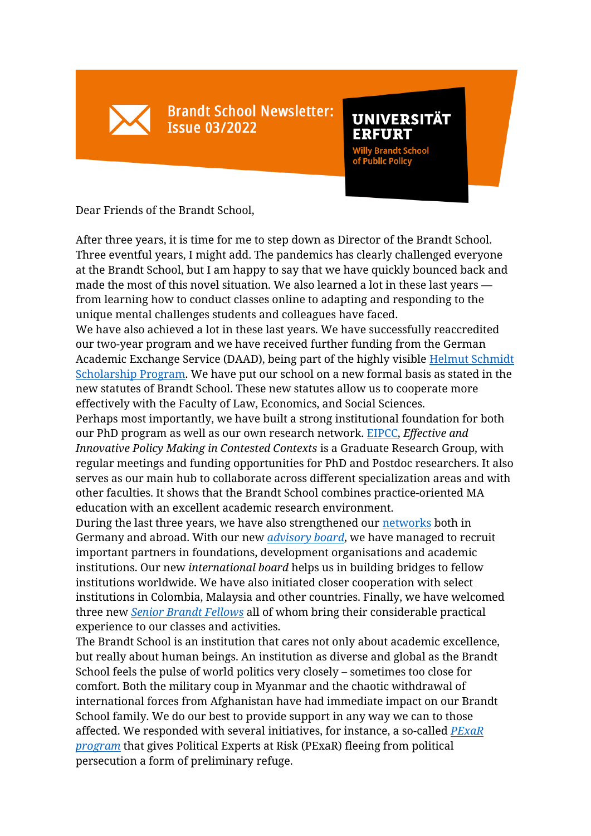**Brandt School Newsletter: Issue 03/2022** 

**UNIVERSITÄT ERFURT** 

**Willy Brandt School**<br>of Public Policy

Dear Friends of the Brandt School,

After three years, it is time for me to step down as Director of the Brandt School. Three eventful years, I might add. The pandemics has clearly challenged everyone at the Brandt School, but I am happy to say that we have quickly bounced back and made the most of this novel situation. We also learned a lot in these last years from learning how to conduct classes online to adapting and responding to the unique mental challenges students and colleagues have faced.

We have also achieved a lot in these last years. We have successfully reaccredited our two-year program and we have received further funding from the German Academic Exchange Service (DAAD), being part of the highly visible [Helmut Schmidt](https://www.uni-erfurt.de/en/brandtschool/studies/admissions/scholarships)  [Scholarship Program.](https://www.uni-erfurt.de/en/brandtschool/studies/admissions/scholarships) We have put our school on a new formal basis as stated in the new statutes of Brandt School. These new statutes allow us to cooperate more effectively with the Faculty of Law, Economics, and Social Sciences.

Perhaps most importantly, we have built a strong institutional foundation for both our PhD program as well as our own research network. [EIPCC,](https://www.uni-erfurt.de/en/brandtschool/research/phd-at-the-brandt-school/graduate-centre-eipcc) *Effective and Innovative Policy Making in Contested Contexts* is a Graduate Research Group, with regular meetings and funding opportunities for PhD and Postdoc researchers. It also serves as our main hub to collaborate across different specialization areas and with other faculties. It shows that the Brandt School combines practice-oriented MA education with an excellent academic research environment.

During the last three years, we have also strengthened our [networks](https://www.uni-erfurt.de/en/brandtschool/the-school/about/brandt-school-network) both in Germany and abroad. With our new *[advisory board](https://www.uni-erfurt.de/en/brandtschool/the-school/about/brandt-school-boards)*, we have managed to recruit important partners in foundations, development organisations and academic institutions. Our new *international board* helps us in building bridges to fellow institutions worldwide. We have also initiated closer cooperation with select institutions in Colombia, Malaysia and other countries. Finally, we have welcomed three new *[Senior Brandt Fellows](https://www.uni-erfurt.de/en/brandtschool/the-school/people/senior-brandt-fellows)* all of whom bring their considerable practical experience to our classes and activities.

The Brandt School is an institution that cares not only about academic excellence, but really about human beings. An institution as diverse and global as the Brandt School feels the pulse of world politics very closely – sometimes too close for comfort. Both the military coup in Myanmar and the chaotic withdrawal of international forces from Afghanistan have had immediate impact on our Brandt School family. We do our best to provide support in any way we can to those affected. We responded with several initiatives, for instance, a so-called *[PExaR](https://www.uni-erfurt.de/en/university/current/news/news-detail/brandt-school-nimmt-stellung-zum-regimewechsel-in-afghanistan)  [program](https://www.uni-erfurt.de/en/university/current/news/news-detail/brandt-school-nimmt-stellung-zum-regimewechsel-in-afghanistan)* that gives Political Experts at Risk (PExaR) fleeing from political persecution a form of preliminary refuge.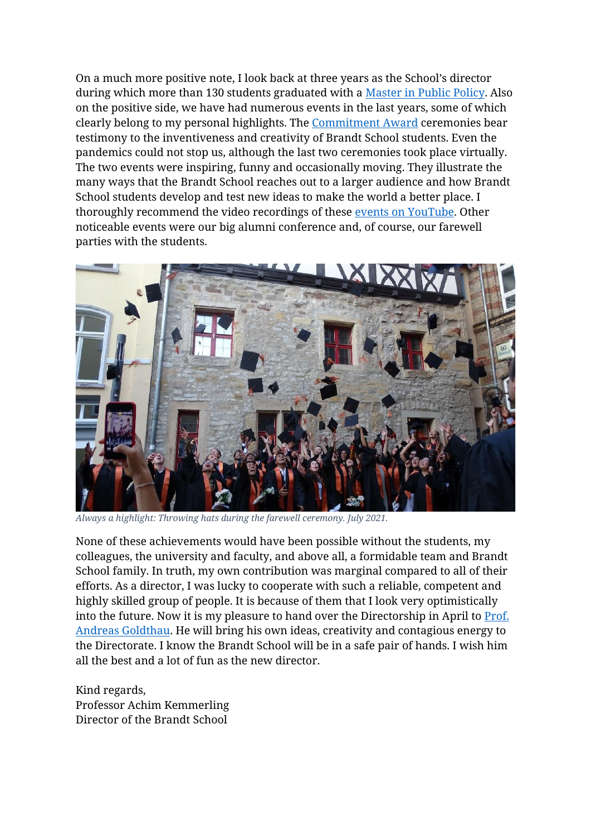On a much more positive note, I look back at three years as the School's director during which more than 130 students graduated with a [Master in Public Policy.](https://www.uni-erfurt.de/en/brandtschool/studies/master-of-public-policy/about-the-program) Also on the positive side, we have had numerous events in the last years, some of which clearly belong to my personal highlights. The [Commitment Award](https://www.uni-erfurt.de/en/brandtschool/media-events/events/commitment-award) ceremonies bear testimony to the inventiveness and creativity of Brandt School students. Even the pandemics could not stop us, although the last two ceremonies took place virtually. The two events were inspiring, funny and occasionally moving. They illustrate the many ways that the Brandt School reaches out to a larger audience and how Brandt School students develop and test new ideas to make the world a better place. I thoroughly recommend the video recordings of these [events on YouTube.](https://www.youtube.com/watch?v=bHtur5gr2Bc) Other noticeable events were our big alumni conference and, of course, our farewell parties with the students.



*Always a highlight: Throwing hats during the farewell ceremony. July 2021.*

None of these achievements would have been possible without the students, my colleagues, the university and faculty, and above all, a formidable team and Brandt School family. In truth, my own contribution was marginal compared to all of their efforts. As a director, I was lucky to cooperate with such a reliable, competent and highly skilled group of people. It is because of them that I look very optimistically into the future. Now it is my pleasure to hand over the Directorship in April to [Prof.](https://www.uni-erfurt.de/en/brandtschool/the-school/people/faculty/prof-dr-andreas-goldthau)  [Andreas Goldthau.](https://www.uni-erfurt.de/en/brandtschool/the-school/people/faculty/prof-dr-andreas-goldthau) He will bring his own ideas, creativity and contagious energy to the Directorate. I know the Brandt School will be in a safe pair of hands. I wish him all the best and a lot of fun as the new director.

Kind regards, Professor Achim Kemmerling Director of the Brandt School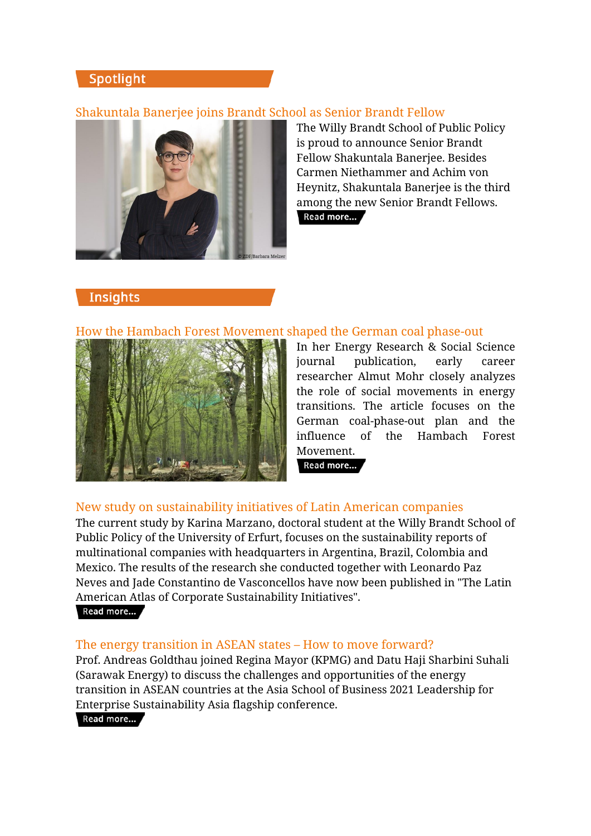# Spotlight

# Shakuntala Banerjee joins Brandt School as Senior Brandt Fellow



The Willy Brandt School of Public Policy is proud to announce Senior Brandt Fellow Shakuntala Banerjee. Besides Carmen Niethammer and Achim von Heynitz, Shakuntala Banerjee is the third among the new Senior Brandt Fellows.

Read more...

# **Insights**

### How the Hambach Forest Movement shaped the German coal phase-out



In her Energy Research & Social Science journal publication, early career researcher Almut Mohr closely analyzes the role of social movements in energy transitions. The article focuses on the German coal-phase-out plan and the influence of the Hambach Forest Movement.

Read more...

### New study on sustainability initiatives of Latin American companies

The current study by Karina Marzano, doctoral student at the Willy Brandt School of Public Policy of the University of Erfurt, focuses on the sustainability reports of multinational companies with headquarters in Argentina, Brazil, Colombia and Mexico. The results of the research she conducted together with Leonardo Paz Neves and Jade Constantino de Vasconcellos have now been published in "The Latin American Atlas of Corporate Sustainability Initiatives". Read more...

#### The energy transition in ASEAN states – How to move forward?

Prof. Andreas Goldthau joined Regina Mayor (KPMG) and Datu Haji Sharbini Suhali (Sarawak Energy) to discuss the challenges and opportunities of the energy transition in ASEAN countries at the Asia School of Business 2021 Leadership for Enterprise Sustainability Asia flagship conference.

Read more...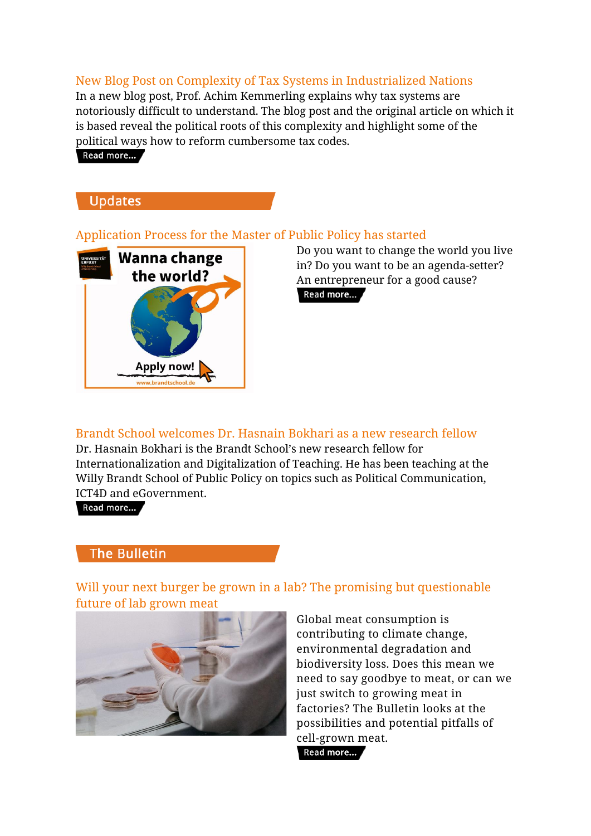# New Blog Post on Complexity of Tax Systems in Industrialized Nations

In a new blog post, Prof. Achim Kemmerling explains why tax systems are notoriously difficult to understand. The blog post and the original article on which it is based reveal the political roots of this complexity and highlight some of the political ways how to reform cumbersome tax codes.

Read more...



### Application Process for the Master of Public Policy has started



Do you want to change the world you live in? Do you want to be an agenda-setter? An entrepreneur for a good cause? Read more...

#### Brandt School welcomes Dr. Hasnain Bokhari as a new research fellow Dr. Hasnain Bokhari is the Brandt School's new research fellow for

Internationalization and Digitalization of Teaching. He has been teaching at the Willy Brandt School of Public Policy on topics such as Political Communication, ICT4D and eGovernment.

Read more...

# **The Bulletin**

Will your next burger be grown in a lab? The promising but questionable future of lab grown meat



Global meat consumption is contributing to climate change, environmental degradation and biodiversity loss. Does this mean we need to say goodbye to meat, or can we just switch to growing meat in factories? The Bulletin looks at the possibilities and potential pitfalls of cell-grown meat.Read more...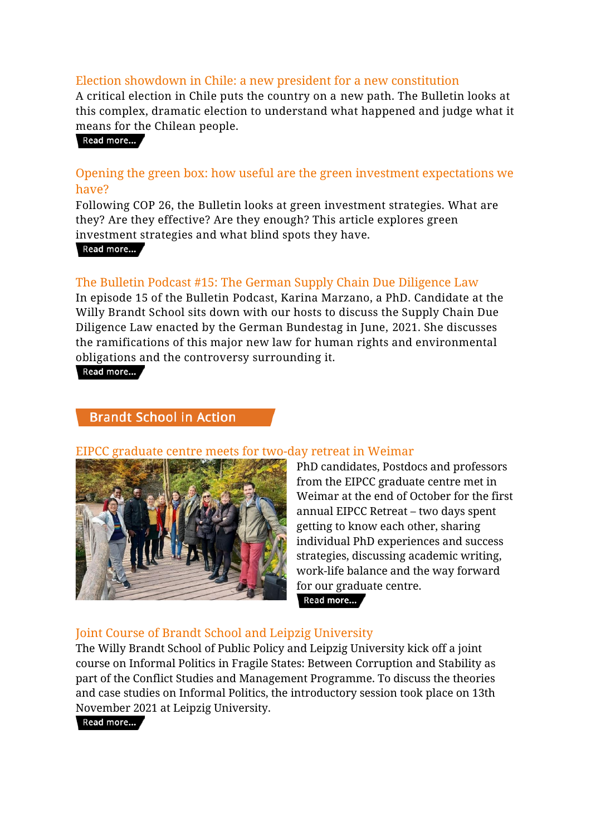# Election showdown in Chile: a new president for a new constitution

A critical election in Chile puts the country on a new path. The Bulletin looks at this complex, dramatic election to understand what happened and judge what it means for the Chilean people.

Read more...

# Opening the green box: how useful are the green investment expectations we have?

Following COP 26, the Bulletin looks at green investment strategies. What are they? Are they effective? Are they enough? This article explores green investment strategies and what blind spots they have.

Read more...

# The Bulletin Podcast #15: The German Supply Chain Due Diligence Law

In episode 15 of the Bulletin Podcast, Karina Marzano, a PhD. Candidate at the Willy Brandt School sits down with our hosts to discuss the Supply Chain Due Diligence Law enacted by the German Bundestag in June, 2021. She discusses the ramifications of this major new law for human rights and environmental obligations and the controversy surrounding it.

Read more...

# **Brandt School in Action**

#### EIPCC graduate centre meets for two-day retreat in Weimar



PhD candidates, Postdocs and professors from the EIPCC graduate centre met in Weimar at the end of October for the first annual EIPCC Retreat – two days spent getting to know each other, sharing individual PhD experiences and success strategies, discussing academic writing, work-life balance and the way forward for our graduate centre.

#### Read more...

### Joint Course of Brandt School and Leipzig University

The Willy Brandt School of Public Policy and Leipzig University kick off a joint course on Informal Politics in Fragile States: Between Corruption and Stability as part of the Conflict Studies and Management Programme. To discuss the theories and case studies on Informal Politics, the introductory session took place on 13th November 2021 at Leipzig University.

Read more...